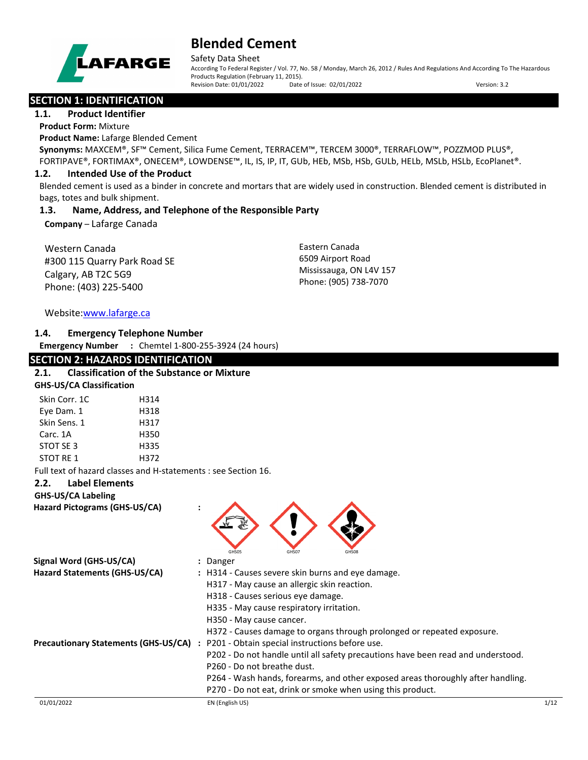

Safety Data Sheet

According To Federal Register / Vol. 77, No. 58 / Monday, March 26, 2012 / Rules And Regulations And According To The Hazardous Products Regulation (February 11, 2015). Revision Date: 01/01/2022 Date of Issue: 02/01/2022 Version: 3.2

# **SECTION 1: IDENTIFICATION**

**1.1. Product Identifier**

**Product Form:** Mixture

**Product Name:** Lafarge Blended Cement

**Synonyms:** MAXCEM®, SF™ Cement, Silica Fume Cement, TERRACEM™, TERCEM 3000®, TERRAFLOW™, POZZMOD PLUS®, FORTIPAVE®, FORTIMAX®, ONECEM®, LOWDENSE™, IL, IS, IP, IT, GUb, HEb, MSb, HSb, GULb, HELb, MSLb, HSLb, EcoPlanet®.

# **1.2. Intended Use of the Product**

Blended cement is used as a binder in concrete and mortars that are widely used in construction. Blended cement is distributed in bags, totes and bulk shipment.

# **1.3. Name, Address, and Telephone of the Responsible Party**

**Company** – Lafarge Canada

Western Canada #300 115 Quarry Park Road SE Calgary, AB T2C 5G9 Phone: (403) 225-5400

Eastern Canada 6509 Airport Road Mississauga, ON L4V 157 Phone: (905) 738-7070

# Website[:www.lafarge.ca](file://leon/customers/CUSTOMERS/Lafarge_North_America_Inc/Projects/Authoring_20180316/Batch_Folder/B_Draft_SDS/MS_Word_Files/www.lafarge.ca)

# **1.4. Emergency Telephone Number**

**Emergency Number :** Chemtel 1-800-255-3924 (24 hours)

# **SECTION 2: HAZARDS IDENTIFICATION 2.1. Classification of the Substance or Mixture GHS-US/CA Classification** Skin Corr. 1C 
H314 Eye Dam. 1 H318 Skin Sens. 1 H317 Carc. 1A H350 STOT SE 3 H335 STOT RE 1 H372 Full text of hazard classes and H-statements : see Section 16. **2.2. Label Elements GHS-US/CA Labeling Hazard Pictograms (GHS-US/CA) :** GHS05 GHS07 GHS07 GHS08 **Signal Word (GHS-US/CA) :** Danger **Hazard Statements (GHS-US/CA) :** H314 - Causes severe skin burns and eye damage. H317 - May cause an allergic skin reaction. H318 - Causes serious eye damage. H335 - May cause respiratory irritation. H350 - May cause cancer. H372 - Causes damage to organs through prolonged or repeated exposure. **Precautionary Statements (GHS-US/CA) :** P201 - Obtain special instructions before use. P202 - Do not handle until all safety precautions have been read and understood. P260 - Do not breathe dust. P264 - Wash hands, forearms, and other exposed areas thoroughly after handling. P270 - Do not eat, drink or smoke when using this product.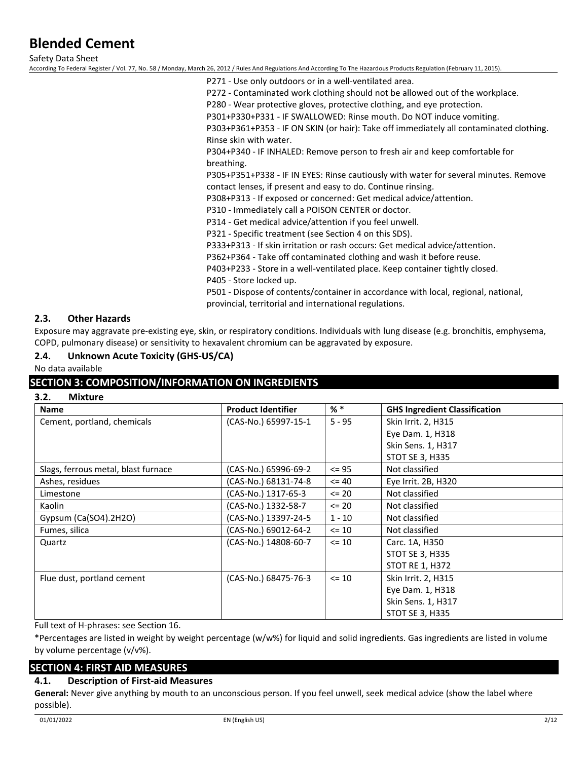Safety Data Sheet

According To Federal Register / Vol. 77, No. 58 / Monday, March 26, 2012 / Rules And Regulations And According To The Hazardous Products Regulation (February 11, 2015).

P271 - Use only outdoors or in a well-ventilated area. P272 - Contaminated work clothing should not be allowed out of the workplace. P280 - Wear protective gloves, protective clothing, and eye protection. P301+P330+P331 - IF SWALLOWED: Rinse mouth. Do NOT induce vomiting. P303+P361+P353 - IF ON SKIN (or hair): Take off immediately all contaminated clothing. Rinse skin with water.

P304+P340 - IF INHALED: Remove person to fresh air and keep comfortable for breathing.

P305+P351+P338 - IF IN EYES: Rinse cautiously with water for several minutes. Remove contact lenses, if present and easy to do. Continue rinsing.

P308+P313 - If exposed or concerned: Get medical advice/attention.

P310 - Immediately call a POISON CENTER or doctor.

P314 - Get medical advice/attention if you feel unwell.

P321 - Specific treatment (see Section 4 on this SDS).

P333+P313 - If skin irritation or rash occurs: Get medical advice/attention.

P362+P364 - Take off contaminated clothing and wash it before reuse.

P403+P233 - Store in a well-ventilated place. Keep container tightly closed.

P405 - Store locked up.

P501 - Dispose of contents/container in accordance with local, regional, national, provincial, territorial and international regulations.

# **2.3. Other Hazards**

Exposure may aggravate pre-existing eye, skin, or respiratory conditions. Individuals with lung disease (e.g. bronchitis, emphysema, COPD, pulmonary disease) or sensitivity to hexavalent chromium can be aggravated by exposure.

# **2.4. Unknown Acute Toxicity (GHS-US/CA)**

No data available

# **SECTION 3: COMPOSITION/INFORMATION ON INGREDIENTS**

### **3.2. Mixture**

| <b>Name</b>                         | <b>Product Identifier</b> | $%$ $*$   | <b>GHS Ingredient Classification</b> |
|-------------------------------------|---------------------------|-----------|--------------------------------------|
| Cement, portland, chemicals         | (CAS-No.) 65997-15-1      | $5 - 95$  | Skin Irrit. 2, H315                  |
|                                     |                           |           | Eye Dam. 1, H318                     |
|                                     |                           |           | Skin Sens. 1, H317                   |
|                                     |                           |           | <b>STOT SE 3, H335</b>               |
| Slags, ferrous metal, blast furnace | (CAS-No.) 65996-69-2      | $\leq$ 95 | Not classified                       |
| Ashes, residues                     | (CAS-No.) 68131-74-8      | $\leq 40$ | Eye Irrit. 2B, H320                  |
| Limestone                           | (CAS-No.) 1317-65-3       | $\leq$ 20 | Not classified                       |
| Kaolin                              | (CAS-No.) 1332-58-7       | $\leq$ 20 | Not classified                       |
| Gypsum (Ca(SO4).2H2O)               | (CAS-No.) 13397-24-5      | $1 - 10$  | Not classified                       |
| Fumes, silica                       | (CAS-No.) 69012-64-2      | $\leq 10$ | Not classified                       |
| Quartz                              | (CAS-No.) 14808-60-7      | $\leq 10$ | Carc. 1A, H350                       |
|                                     |                           |           | <b>STOT SE 3, H335</b>               |
|                                     |                           |           | <b>STOT RE 1, H372</b>               |
| Flue dust, portland cement          | (CAS-No.) 68475-76-3      | $\leq 10$ | Skin Irrit. 2, H315                  |
|                                     |                           |           | Eye Dam. 1, H318                     |
|                                     |                           |           | Skin Sens. 1, H317                   |
|                                     |                           |           | <b>STOT SE 3, H335</b>               |

Full text of H-phrases: see Section 16.

\*Percentages are listed in weight by weight percentage (w/w%) for liquid and solid ingredients. Gas ingredients are listed in volume by volume percentage (v/v%).

# **SECTION 4: FIRST AID MEASURES**

## **4.1. Description of First-aid Measures**

**General:** Never give anything by mouth to an unconscious person. If you feel unwell, seek medical advice (show the label where possible).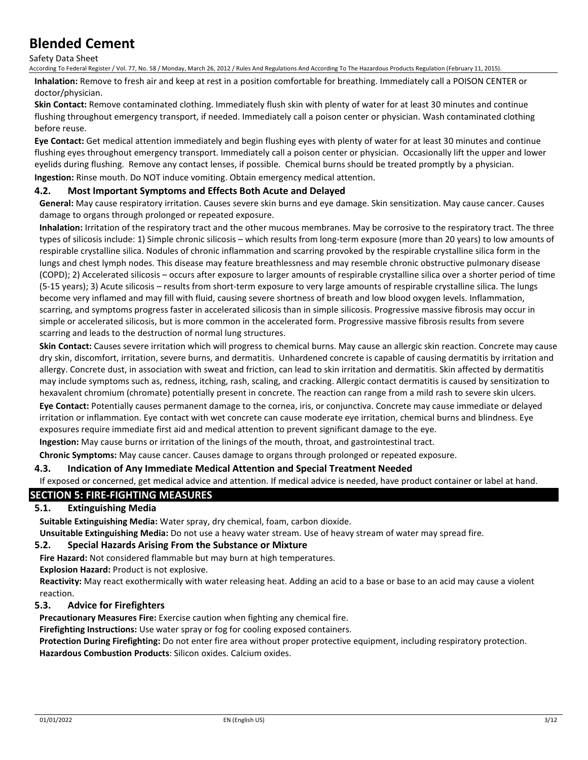Safety Data Sheet

According To Federal Register / Vol. 77, No. 58 / Monday, March 26, 2012 / Rules And Regulations And According To The Hazardous Products Regulation (February 11, 2015).

**Inhalation:** Remove to fresh air and keep at rest in a position comfortable for breathing. Immediately call a POISON CENTER or doctor/physician.

**Skin Contact:** Remove contaminated clothing. Immediately flush skin with plenty of water for at least 30 minutes and continue flushing throughout emergency transport, if needed. Immediately call a poison center or physician. Wash contaminated clothing before reuse.

**Eye Contact:** Get medical attention immediately and begin flushing eyes with plenty of water for at least 30 minutes and continue flushing eyes throughout emergency transport. Immediately call a poison center or physician. Occasionally lift the upper and lower eyelids during flushing. Remove any contact lenses, if possible. Chemical burns should be treated promptly by a physician. **Ingestion:** Rinse mouth. Do NOT induce vomiting. Obtain emergency medical attention.

# **4.2. Most Important Symptoms and Effects Both Acute and Delayed**

**General:** May cause respiratory irritation. Causes severe skin burns and eye damage. Skin sensitization. May cause cancer. Causes damage to organs through prolonged or repeated exposure.

**Inhalation:** Irritation of the respiratory tract and the other mucous membranes. May be corrosive to the respiratory tract. The three types of silicosis include: 1) Simple chronic silicosis – which results from long-term exposure (more than 20 years) to low amounts of respirable crystalline silica. Nodules of chronic inflammation and scarring provoked by the respirable crystalline silica form in the lungs and chest lymph nodes. This disease may feature breathlessness and may resemble chronic obstructive pulmonary disease (COPD); 2) Accelerated silicosis – occurs after exposure to larger amounts of respirable crystalline silica over a shorter period of time (5-15 years); 3) Acute silicosis – results from short-term exposure to very large amounts of respirable crystalline silica. The lungs become very inflamed and may fill with fluid, causing severe shortness of breath and low blood oxygen levels. Inflammation, scarring, and symptoms progress faster in accelerated silicosis than in simple silicosis. Progressive massive fibrosis may occur in simple or accelerated silicosis, but is more common in the accelerated form. Progressive massive fibrosis results from severe scarring and leads to the destruction of normal lung structures.

**Skin Contact:** Causes severe irritation which will progress to chemical burns. May cause an allergic skin reaction. Concrete may cause dry skin, discomfort, irritation, severe burns, and dermatitis. Unhardened concrete is capable of causing dermatitis by irritation and allergy. Concrete dust, in association with sweat and friction, can lead to skin irritation and dermatitis. Skin affected by dermatitis may include symptoms such as, redness, itching, rash, scaling, and cracking. Allergic contact dermatitis is caused by sensitization to hexavalent chromium (chromate) potentially present in concrete. The reaction can range from a mild rash to severe skin ulcers.

**Eye Contact:** Potentially causes permanent damage to the cornea, iris, or conjunctiva. Concrete may cause immediate or delayed irritation or inflammation. Eye contact with wet concrete can cause moderate eye irritation, chemical burns and blindness. Eye exposures require immediate first aid and medical attention to prevent significant damage to the eye.

**Ingestion:** May cause burns or irritation of the linings of the mouth, throat, and gastrointestinal tract.

**Chronic Symptoms:** May cause cancer. Causes damage to organs through prolonged or repeated exposure.

### **4.3. Indication of Any Immediate Medical Attention and Special Treatment Needed**

If exposed or concerned, get medical advice and attention. If medical advice is needed, have product container or label at hand.

# **SECTION 5: FIRE-FIGHTING MEASURES**

## **5.1. Extinguishing Media**

**Suitable Extinguishing Media:** Water spray, dry chemical, foam, carbon dioxide.

**Unsuitable Extinguishing Media:** Do not use a heavy water stream. Use of heavy stream of water may spread fire.

# **5.2. Special Hazards Arising From the Substance or Mixture**

**Fire Hazard:** Not considered flammable but may burn at high temperatures.

**Explosion Hazard:** Product is not explosive.

**Reactivity:** May react exothermically with water releasing heat. Adding an acid to a base or base to an acid may cause a violent reaction.

# **5.3. Advice for Firefighters**

**Precautionary Measures Fire:** Exercise caution when fighting any chemical fire.

**Firefighting Instructions:** Use water spray or fog for cooling exposed containers.

**Protection During Firefighting:** Do not enter fire area without proper protective equipment, including respiratory protection. **Hazardous Combustion Products**: Silicon oxides. Calcium oxides.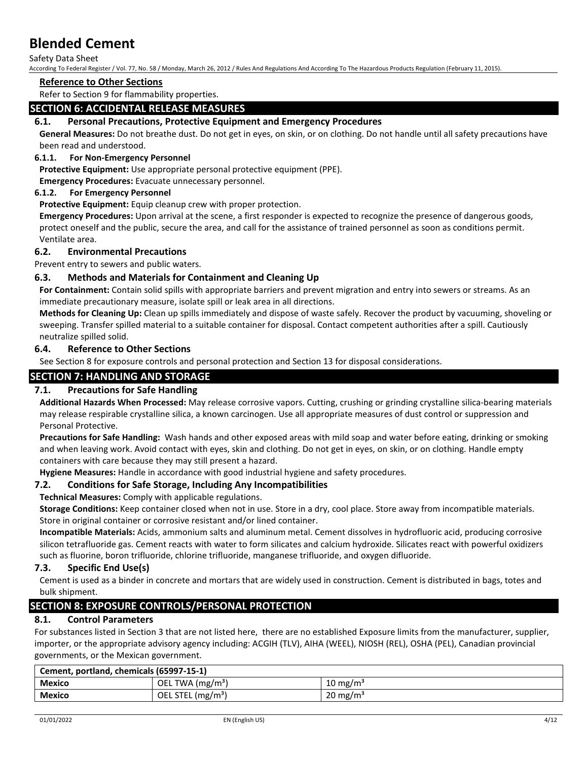Safety Data Sheet

According To Federal Register / Vol. 77, No. 58 / Monday, March 26, 2012 / Rules And Regulations And According To The Hazardous Products Regulation (February 11, 2015).

### **Reference to Other Sections**

Refer to Section 9 for flammability properties.

# **SECTION 6: ACCIDENTAL RELEASE MEASURES**

## **6.1. Personal Precautions, Protective Equipment and Emergency Procedures**

**General Measures:** Do not breathe dust. Do not get in eyes, on skin, or on clothing. Do not handle until all safety precautions have been read and understood.

### **6.1.1. For Non-Emergency Personnel**

**Protective Equipment:** Use appropriate personal protective equipment (PPE).

**Emergency Procedures:** Evacuate unnecessary personnel.

#### **6.1.2. For Emergency Personnel**

**Protective Equipment:** Equip cleanup crew with proper protection.

**Emergency Procedures:** Upon arrival at the scene, a first responder is expected to recognize the presence of dangerous goods, protect oneself and the public, secure the area, and call for the assistance of trained personnel as soon as conditions permit. Ventilate area.

### **6.2. Environmental Precautions**

Prevent entry to sewers and public waters.

# **6.3. Methods and Materials for Containment and Cleaning Up**

**For Containment:** Contain solid spills with appropriate barriers and prevent migration and entry into sewers or streams. As an immediate precautionary measure, isolate spill or leak area in all directions.

**Methods for Cleaning Up:** Clean up spills immediately and dispose of waste safely. Recover the product by vacuuming, shoveling or sweeping. Transfer spilled material to a suitable container for disposal. Contact competent authorities after a spill. Cautiously neutralize spilled solid.

#### **6.4. Reference to Other Sections**

See Section 8 for exposure controls and personal protection and Section 13 for disposal considerations.

# **SECTION 7: HANDLING AND STORAGE**

## **7.1. Precautions for Safe Handling**

**Additional Hazards When Processed:** May release corrosive vapors. Cutting, crushing or grinding crystalline silica-bearing materials may release respirable crystalline silica, a known carcinogen. Use all appropriate measures of dust control or suppression and Personal Protective.

**Precautions for Safe Handling:** Wash hands and other exposed areas with mild soap and water before eating, drinking or smoking and when leaving work. Avoid contact with eyes, skin and clothing. Do not get in eyes, on skin, or on clothing. Handle empty containers with care because they may still present a hazard.

**Hygiene Measures:** Handle in accordance with good industrial hygiene and safety procedures.

### **7.2. Conditions for Safe Storage, Including Any Incompatibilities**

**Technical Measures:** Comply with applicable regulations.

**Storage Conditions:** Keep container closed when not in use. Store in a dry, cool place. Store away from incompatible materials. Store in original container or corrosive resistant and/or lined container.

**Incompatible Materials:** Acids, ammonium salts and aluminum metal. Cement dissolves in hydrofluoric acid, producing corrosive silicon tetrafluoride gas. Cement reacts with water to form silicates and calcium hydroxide. Silicates react with powerful oxidizers such as fluorine, boron trifluoride, chlorine trifluoride, manganese trifluoride, and oxygen difluoride.

### **7.3. Specific End Use(s)**

Cement is used as a binder in concrete and mortars that are widely used in construction. Cement is distributed in bags, totes and bulk shipment.

# **SECTION 8: EXPOSURE CONTROLS/PERSONAL PROTECTION**

# **8.1. Control Parameters**

For substances listed in Section 3 that are not listed here, there are no established Exposure limits from the manufacturer, supplier, importer, or the appropriate advisory agency including: ACGIH (TLV), AIHA (WEEL), NIOSH (REL), OSHA (PEL), Canadian provincial governments, or the Mexican government.

| Cement, portland, chemicals (65997-15-1) |                    |                     |
|------------------------------------------|--------------------|---------------------|
| <b>Mexico</b>                            | OEL TWA $(mg/m3)$  | $10 \text{ mg/m}^3$ |
| <b>Mexico</b>                            | OEL STEL $(mg/m3)$ | $20 \text{ mg/m}^3$ |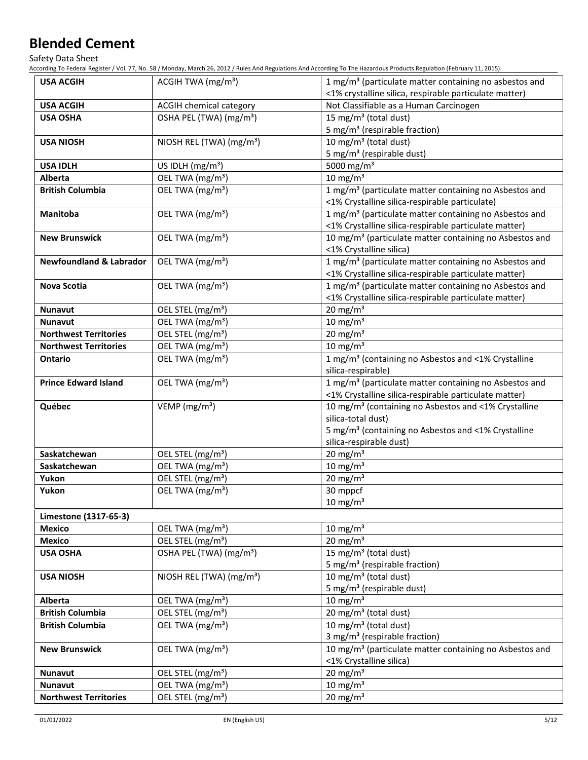Safety Data Sheet

According To Federal Register / Vol. 77, No. 58 / Monday, March 26, 2012 / Rules And Regulations And According To The Hazardous Products Regulation (February 11, 2015).

| <b>USA ACGIH</b>                   | ACGIH TWA (mg/m <sup>3</sup> )       | 1 mg/m <sup>3</sup> (particulate matter containing no asbestos and<br><1% crystalline silica, respirable particulate matter) |
|------------------------------------|--------------------------------------|------------------------------------------------------------------------------------------------------------------------------|
| <b>USA ACGIH</b>                   | ACGIH chemical category              | Not Classifiable as a Human Carcinogen                                                                                       |
| <b>USA OSHA</b>                    | OSHA PEL (TWA) (mg/m <sup>3</sup> )  | 15 mg/m <sup>3</sup> (total dust)                                                                                            |
|                                    |                                      | 5 mg/m <sup>3</sup> (respirable fraction)                                                                                    |
| <b>USA NIOSH</b>                   | NIOSH REL (TWA) (mg/m <sup>3</sup> ) | 10 mg/m <sup>3</sup> (total dust)                                                                                            |
|                                    |                                      | 5 mg/m <sup>3</sup> (respirable dust)                                                                                        |
| <b>USA IDLH</b>                    | US IDLH (mg/m <sup>3</sup> )         | 5000 mg/m <sup>3</sup>                                                                                                       |
| <b>Alberta</b>                     | OEL TWA (mg/m <sup>3</sup> )         | 10 mg/m $3$                                                                                                                  |
| <b>British Columbia</b>            | OEL TWA (mg/m <sup>3</sup> )         | 1 mg/m <sup>3</sup> (particulate matter containing no Asbestos and                                                           |
|                                    |                                      | <1% Crystalline silica-respirable particulate)                                                                               |
| <b>Manitoba</b>                    | OEL TWA (mg/m <sup>3</sup> )         | 1 mg/m <sup>3</sup> (particulate matter containing no Asbestos and                                                           |
|                                    |                                      | <1% Crystalline silica-respirable particulate matter)                                                                        |
| <b>New Brunswick</b>               | OEL TWA (mg/m <sup>3</sup> )         | 10 mg/m <sup>3</sup> (particulate matter containing no Asbestos and                                                          |
|                                    |                                      | <1% Crystalline silica)                                                                                                      |
| <b>Newfoundland &amp; Labrador</b> | OEL TWA (mg/m <sup>3</sup> )         | 1 mg/m <sup>3</sup> (particulate matter containing no Asbestos and                                                           |
|                                    |                                      | <1% Crystalline silica-respirable particulate matter)                                                                        |
| <b>Nova Scotia</b>                 | OEL TWA (mg/m <sup>3</sup> )         | 1 mg/m <sup>3</sup> (particulate matter containing no Asbestos and                                                           |
|                                    |                                      | <1% Crystalline silica-respirable particulate matter)                                                                        |
| <b>Nunavut</b>                     | OEL STEL (mg/m <sup>3</sup> )        | $20 \text{ mg/m}^3$                                                                                                          |
| <b>Nunavut</b>                     | OEL TWA (mg/m <sup>3</sup> )         | $10 \text{ mg/m}^3$                                                                                                          |
| <b>Northwest Territories</b>       | OEL STEL (mg/m <sup>3</sup> )        | $20 \text{ mg/m}^3$                                                                                                          |
| <b>Northwest Territories</b>       | OEL TWA (mg/m <sup>3</sup> )         | 10 mg/m $3$                                                                                                                  |
| <b>Ontario</b>                     | OEL TWA (mg/m <sup>3</sup> )         | 1 mg/m <sup>3</sup> (containing no Asbestos and <1% Crystalline                                                              |
|                                    |                                      | silica-respirable)                                                                                                           |
| <b>Prince Edward Island</b>        | OEL TWA (mg/m <sup>3</sup> )         | 1 mg/m <sup>3</sup> (particulate matter containing no Asbestos and                                                           |
|                                    |                                      | <1% Crystalline silica-respirable particulate matter)                                                                        |
| Québec                             | VEMP ( $mg/m3$ )                     | 10 mg/m <sup>3</sup> (containing no Asbestos and <1% Crystalline                                                             |
|                                    |                                      | silica-total dust)                                                                                                           |
|                                    |                                      | 5 mg/m <sup>3</sup> (containing no Asbestos and <1% Crystalline<br>silica-respirable dust)                                   |
| Saskatchewan                       | OEL STEL (mg/m <sup>3</sup> )        | $20 \text{ mg/m}^3$                                                                                                          |
| Saskatchewan                       | OEL TWA (mg/m <sup>3</sup> )         | $10 \text{ mg/m}^3$                                                                                                          |
| Yukon                              | OEL STEL (mg/m <sup>3</sup> )        | $20 \text{ mg/m}^3$                                                                                                          |
| Yukon                              | OEL TWA (mg/m <sup>3</sup> )         | 30 mppcf                                                                                                                     |
|                                    |                                      | $10 \text{ mg/m}^3$                                                                                                          |
| Limestone (1317-65-3)              |                                      |                                                                                                                              |
| <b>Mexico</b>                      | OEL TWA (mg/m <sup>3</sup> )         | 10 mg/m $3$                                                                                                                  |
| <b>Mexico</b>                      | OEL STEL (mg/m <sup>3</sup> )        | $20 \text{ mg/m}^3$                                                                                                          |
| <b>USA OSHA</b>                    | OSHA PEL (TWA) (mg/m <sup>3</sup> )  | 15 mg/m <sup>3</sup> (total dust)                                                                                            |
|                                    |                                      | 5 mg/m <sup>3</sup> (respirable fraction)                                                                                    |
| <b>USA NIOSH</b>                   | NIOSH REL (TWA) (mg/m <sup>3</sup> ) | 10 mg/m <sup>3</sup> (total dust)                                                                                            |
|                                    |                                      | 5 mg/m <sup>3</sup> (respirable dust)                                                                                        |
| Alberta                            | OEL TWA (mg/m <sup>3</sup> )         | $10 \text{ mg/m}^3$                                                                                                          |
| <b>British Columbia</b>            | OEL STEL (mg/m <sup>3</sup> )        | 20 mg/m <sup>3</sup> (total dust)                                                                                            |
| <b>British Columbia</b>            | OEL TWA (mg/m <sup>3</sup> )         | 10 mg/m <sup>3</sup> (total dust)                                                                                            |
|                                    |                                      | 3 mg/m <sup>3</sup> (respirable fraction)                                                                                    |
| <b>New Brunswick</b>               | OEL TWA (mg/m <sup>3</sup> )         | 10 mg/m <sup>3</sup> (particulate matter containing no Asbestos and                                                          |
|                                    |                                      | <1% Crystalline silica)                                                                                                      |
| <b>Nunavut</b>                     | OEL STEL (mg/m <sup>3</sup> )        | $20 \text{ mg/m}^3$                                                                                                          |
| Nunavut                            | OEL TWA (mg/m <sup>3</sup> )         | 10 mg/m $3$                                                                                                                  |
| <b>Northwest Territories</b>       | OEL STEL (mg/m <sup>3</sup> )        | $20 \text{ mg/m}^3$                                                                                                          |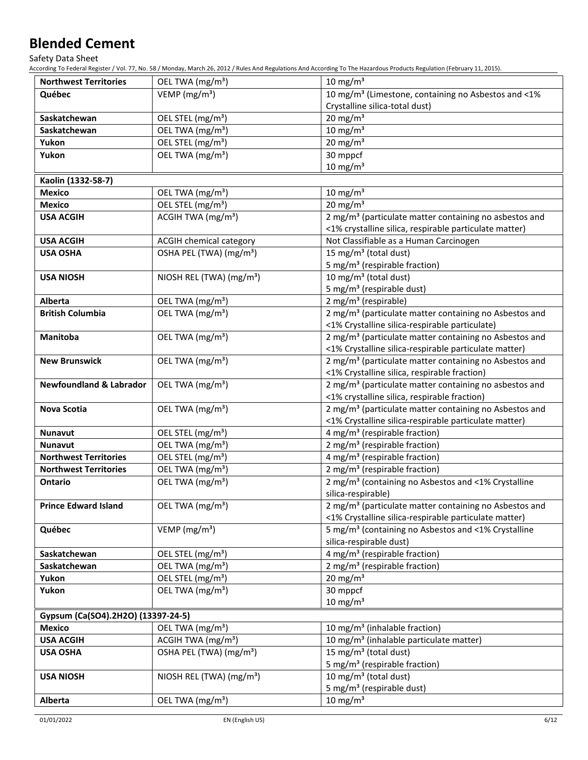Safety Data Sheet

According To Federal Register / Vol. 77, No. 58 / Monday, March 26, 2012 / Rules And Regulations And According To The Hazardous Products Regulation (February 11, 2015).

| <b>Northwest Territories</b>       | OEL TWA (mg/m <sup>3</sup> )         | 10 mg/m $3$                                                                                                              |
|------------------------------------|--------------------------------------|--------------------------------------------------------------------------------------------------------------------------|
| Québec                             | VEMP ( $mg/m3$ )                     | 10 mg/m <sup>3</sup> (Limestone, containing no Asbestos and <1%                                                          |
|                                    |                                      | Crystalline silica-total dust)                                                                                           |
| Saskatchewan                       | OEL STEL (mg/m <sup>3</sup> )        | 20 mg/m $3$                                                                                                              |
| Saskatchewan                       | OEL TWA (mg/m <sup>3</sup> )         | $10 \text{ mg/m}^3$                                                                                                      |
| Yukon                              | OEL STEL (mg/m <sup>3</sup> )        | 20 mg/m $3$                                                                                                              |
| Yukon                              | OEL TWA (mg/m <sup>3</sup> )         | 30 mppcf                                                                                                                 |
|                                    |                                      | $10 \text{ mg/m}^3$                                                                                                      |
| Kaolin (1332-58-7)                 |                                      |                                                                                                                          |
| <b>Mexico</b>                      | OEL TWA (mg/m <sup>3</sup> )         | $10 \text{ mg/m}^3$                                                                                                      |
| <b>Mexico</b>                      | OEL STEL (mg/m <sup>3</sup> )        | $20 \text{ mg/m}^3$                                                                                                      |
| <b>USA ACGIH</b>                   | ACGIH TWA (mg/m <sup>3</sup> )       | 2 mg/m <sup>3</sup> (particulate matter containing no asbestos and                                                       |
|                                    |                                      | <1% crystalline silica, respirable particulate matter)                                                                   |
| <b>USA ACGIH</b>                   | ACGIH chemical category              | Not Classifiable as a Human Carcinogen                                                                                   |
| <b>USA OSHA</b>                    | OSHA PEL (TWA) (mg/m <sup>3</sup> )  | 15 mg/m <sup>3</sup> (total dust)                                                                                        |
|                                    |                                      | 5 mg/m <sup>3</sup> (respirable fraction)                                                                                |
| <b>USA NIOSH</b>                   | NIOSH REL (TWA) (mg/m <sup>3</sup> ) | 10 mg/m <sup>3</sup> (total dust)                                                                                        |
|                                    |                                      | 5 mg/m <sup>3</sup> (respirable dust)                                                                                    |
| <b>Alberta</b>                     | OEL TWA (mg/m <sup>3</sup> )         | 2 mg/m <sup>3</sup> (respirable)                                                                                         |
| <b>British Columbia</b>            | OEL TWA (mg/m <sup>3</sup> )         | 2 mg/m <sup>3</sup> (particulate matter containing no Asbestos and                                                       |
|                                    |                                      | <1% Crystalline silica-respirable particulate)                                                                           |
| Manitoba                           | OEL TWA (mg/m <sup>3</sup> )         | 2 mg/m <sup>3</sup> (particulate matter containing no Asbestos and                                                       |
|                                    |                                      | <1% Crystalline silica-respirable particulate matter)                                                                    |
| <b>New Brunswick</b>               | OEL TWA (mg/m <sup>3</sup> )         | 2 mg/m <sup>3</sup> (particulate matter containing no Asbestos and                                                       |
|                                    |                                      | <1% Crystalline silica, respirable fraction)                                                                             |
| <b>Newfoundland &amp; Labrador</b> | OEL TWA (mg/m <sup>3</sup> )         | 2 mg/m <sup>3</sup> (particulate matter containing no asbestos and                                                       |
|                                    |                                      | <1% crystalline silica, respirable fraction)                                                                             |
| <b>Nova Scotia</b>                 | OEL TWA (mg/m <sup>3</sup> )         | 2 mg/m <sup>3</sup> (particulate matter containing no Asbestos and                                                       |
|                                    |                                      | <1% Crystalline silica-respirable particulate matter)                                                                    |
| <b>Nunavut</b>                     | OEL STEL (mg/m <sup>3</sup> )        | 4 mg/m <sup>3</sup> (respirable fraction)                                                                                |
| <b>Nunavut</b>                     | OEL TWA (mg/m <sup>3</sup> )         | 2 mg/m <sup>3</sup> (respirable fraction)                                                                                |
| <b>Northwest Territories</b>       | OEL STEL (mg/m <sup>3</sup> )        | 4 mg/m <sup>3</sup> (respirable fraction)                                                                                |
| <b>Northwest Territories</b>       | OEL TWA (mg/m <sup>3</sup> )         | 2 mg/m <sup>3</sup> (respirable fraction)                                                                                |
| Ontario                            | OEL TWA (mg/m <sup>3</sup> )         | 2 mg/m <sup>3</sup> (containing no Asbestos and <1% Crystalline                                                          |
|                                    |                                      | silica-respirable)<br>2 mg/m <sup>3</sup> (particulate matter containing no Asbestos and                                 |
| <b>Prince Edward Island</b>        | OEL TWA (mg/m <sup>3</sup> )         |                                                                                                                          |
| Québec                             | VEMP ( $mg/m3$ )                     | <1% Crystalline silica-respirable particulate matter)<br>5 mg/m <sup>3</sup> (containing no Asbestos and <1% Crystalline |
|                                    |                                      | silica-respirable dust)                                                                                                  |
| Saskatchewan                       | OEL STEL (mg/m <sup>3</sup> )        | 4 mg/m <sup>3</sup> (respirable fraction)                                                                                |
| Saskatchewan                       | OEL TWA (mg/m <sup>3</sup> )         | 2 mg/m <sup>3</sup> (respirable fraction)                                                                                |
| Yukon                              | OEL STEL (mg/m <sup>3</sup> )        | $20 \text{ mg/m}^3$                                                                                                      |
| Yukon                              | OEL TWA (mg/m <sup>3</sup> )         | 30 mppcf                                                                                                                 |
|                                    |                                      | $10 \text{ mg/m}^3$                                                                                                      |
| Gypsum (Ca(SO4).2H2O) (13397-24-5) |                                      |                                                                                                                          |
| <b>Mexico</b>                      | OEL TWA (mg/m <sup>3</sup> )         | 10 mg/m <sup>3</sup> (inhalable fraction)                                                                                |
| <b>USA ACGIH</b>                   | ACGIH TWA $(mg/m3)$                  | 10 mg/m <sup>3</sup> (inhalable particulate matter)                                                                      |
| <b>USA OSHA</b>                    | OSHA PEL (TWA) (mg/m <sup>3</sup> )  | 15 mg/m <sup>3</sup> (total dust)                                                                                        |
|                                    |                                      | 5 mg/m <sup>3</sup> (respirable fraction)                                                                                |
| <b>USA NIOSH</b>                   | NIOSH REL (TWA) (mg/m <sup>3</sup> ) | 10 mg/m <sup>3</sup> (total dust)                                                                                        |
|                                    |                                      | 5 mg/m <sup>3</sup> (respirable dust)                                                                                    |
| Alberta                            | OEL TWA (mg/m <sup>3</sup> )         | $10 \text{ mg/m}^3$                                                                                                      |
|                                    |                                      |                                                                                                                          |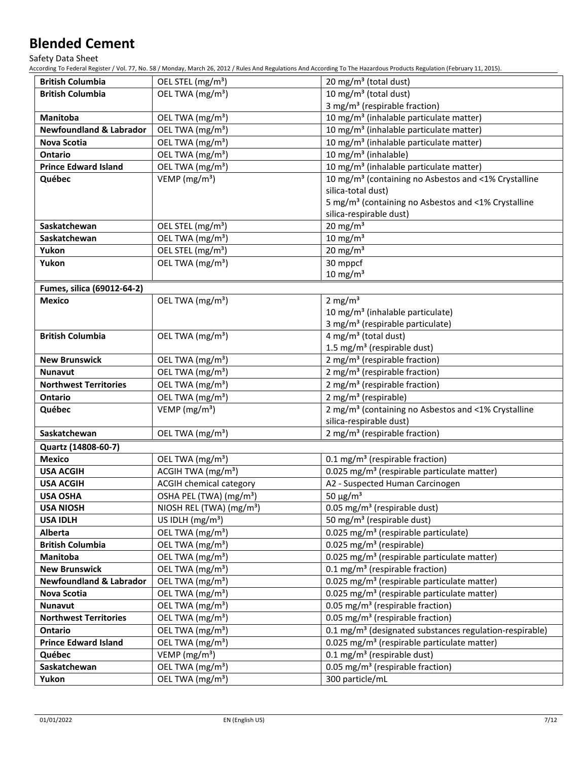Safety Data Sheet

According To Federal Register / Vol. 77, No. 58 / Monday, March 26, 2012 / Rules And Regulations And According To The Hazardous Products Regulation (February 11, 2015).

| <b>British Columbia</b>            | OEL STEL (mg/m <sup>3</sup> )        | 20 mg/m <sup>3</sup> (total dust)                                   |
|------------------------------------|--------------------------------------|---------------------------------------------------------------------|
| <b>British Columbia</b>            | OEL TWA (mg/m <sup>3</sup> )         | 10 mg/m <sup>3</sup> (total dust)                                   |
|                                    |                                      | 3 mg/m <sup>3</sup> (respirable fraction)                           |
| Manitoba                           | OEL TWA (mg/m <sup>3</sup> )         | 10 mg/m <sup>3</sup> (inhalable particulate matter)                 |
| <b>Newfoundland &amp; Labrador</b> | OEL TWA (mg/m <sup>3</sup> )         | 10 mg/m <sup>3</sup> (inhalable particulate matter)                 |
| Nova Scotia                        | OEL TWA (mg/m <sup>3</sup> )         | 10 mg/m <sup>3</sup> (inhalable particulate matter)                 |
| <b>Ontario</b>                     | OEL TWA (mg/m <sup>3</sup> )         | 10 mg/m <sup>3</sup> (inhalable)                                    |
| <b>Prince Edward Island</b>        | OEL TWA (mg/m <sup>3</sup> )         | 10 mg/m <sup>3</sup> (inhalable particulate matter)                 |
| Québec                             | VEMP ( $mg/m3$ )                     | 10 mg/m <sup>3</sup> (containing no Asbestos and <1% Crystalline    |
|                                    |                                      | silica-total dust)                                                  |
|                                    |                                      | 5 mg/m <sup>3</sup> (containing no Asbestos and <1% Crystalline     |
|                                    |                                      | silica-respirable dust)                                             |
| Saskatchewan                       | OEL STEL (mg/m <sup>3</sup> )        | 20 mg/m $3$                                                         |
| Saskatchewan                       | OEL TWA (mg/m <sup>3</sup> )         | 10 mg/m $3$                                                         |
| Yukon                              | OEL STEL (mg/m <sup>3</sup> )        | $20 \text{ mg/m}^3$                                                 |
| Yukon                              | OEL TWA (mg/m <sup>3</sup> )         | 30 mppcf                                                            |
|                                    |                                      | $10 \text{ mg/m}^3$                                                 |
| Fumes, silica (69012-64-2)         |                                      |                                                                     |
| <b>Mexico</b>                      | OEL TWA (mg/m <sup>3</sup> )         | 2 mg/m <sup>3</sup>                                                 |
|                                    |                                      | 10 mg/m <sup>3</sup> (inhalable particulate)                        |
|                                    |                                      | 3 mg/m <sup>3</sup> (respirable particulate)                        |
| <b>British Columbia</b>            | OEL TWA (mg/m <sup>3</sup> )         | $4$ mg/m <sup>3</sup> (total dust)                                  |
|                                    |                                      | 1.5 mg/m <sup>3</sup> (respirable dust)                             |
| <b>New Brunswick</b>               | OEL TWA (mg/m <sup>3</sup> )         | 2 mg/m <sup>3</sup> (respirable fraction)                           |
| <b>Nunavut</b>                     | OEL TWA (mg/m <sup>3</sup> )         | 2 mg/m <sup>3</sup> (respirable fraction)                           |
| <b>Northwest Territories</b>       | OEL TWA (mg/m <sup>3</sup> )         | 2 mg/m <sup>3</sup> (respirable fraction)                           |
| <b>Ontario</b>                     | OEL TWA (mg/m <sup>3</sup> )         | 2 mg/m <sup>3</sup> (respirable)                                    |
| Québec                             | VEMP ( $mg/m3$ )                     | 2 mg/m <sup>3</sup> (containing no Asbestos and <1% Crystalline     |
|                                    |                                      | silica-respirable dust)                                             |
| Saskatchewan                       | OEL TWA (mg/m <sup>3</sup> )         | 2 mg/m <sup>3</sup> (respirable fraction)                           |
| Quartz (14808-60-7)                |                                      |                                                                     |
| Mexico                             | OEL TWA (mg/m <sup>3</sup> )         | 0.1 mg/m <sup>3</sup> (respirable fraction)                         |
| <b>USA ACGIH</b>                   | ACGIH TWA $(mg/m3)$                  | 0.025 mg/m <sup>3</sup> (respirable particulate matter)             |
| <b>USA ACGIH</b>                   | <b>ACGIH chemical category</b>       | A2 - Suspected Human Carcinogen                                     |
| <b>USA OSHA</b>                    | OSHA PEL (TWA) (mg/m <sup>3</sup> )  | 50 $\mu$ g/m <sup>3</sup>                                           |
| <b>USA NIOSH</b>                   | NIOSH REL (TWA) (mg/m <sup>3</sup> ) | 0.05 mg/m <sup>3</sup> (respirable dust)                            |
| <b>USA IDLH</b>                    | US IDLH $(mg/m3)$                    | 50 mg/m <sup>3</sup> (respirable dust)                              |
| <b>Alberta</b>                     | OEL TWA (mg/m <sup>3</sup> )         | 0.025 mg/m <sup>3</sup> (respirable particulate)                    |
| <b>British Columbia</b>            | OEL TWA (mg/m <sup>3</sup> )         | 0.025 mg/m <sup>3</sup> (respirable)                                |
| Manitoba                           | OEL TWA (mg/m <sup>3</sup> )         | 0.025 mg/m <sup>3</sup> (respirable particulate matter)             |
| <b>New Brunswick</b>               | OEL TWA (mg/m <sup>3</sup> )         | 0.1 mg/m <sup>3</sup> (respirable fraction)                         |
| <b>Newfoundland &amp; Labrador</b> | OEL TWA (mg/m <sup>3</sup> )         | 0.025 mg/m <sup>3</sup> (respirable particulate matter)             |
| <b>Nova Scotia</b>                 | OEL TWA (mg/m <sup>3</sup> )         | 0.025 mg/m <sup>3</sup> (respirable particulate matter)             |
| Nunavut                            | OEL TWA (mg/m <sup>3</sup> )         | 0.05 mg/m <sup>3</sup> (respirable fraction)                        |
| <b>Northwest Territories</b>       | OEL TWA (mg/m <sup>3</sup> )         | 0.05 mg/m <sup>3</sup> (respirable fraction)                        |
| <b>Ontario</b>                     | OEL TWA (mg/m <sup>3</sup> )         | 0.1 mg/m <sup>3</sup> (designated substances regulation-respirable) |
| <b>Prince Edward Island</b>        | OEL TWA (mg/m <sup>3</sup> )         | 0.025 mg/m <sup>3</sup> (respirable particulate matter)             |
| Québec                             | VEMP ( $mg/m3$ )                     | $0.1 \text{ mg/m}^3$ (respirable dust)                              |
| Saskatchewan                       | OEL TWA (mg/m <sup>3</sup> )         | 0.05 mg/m <sup>3</sup> (respirable fraction)                        |
| Yukon                              | OEL TWA (mg/m <sup>3</sup> )         | 300 particle/mL                                                     |
|                                    |                                      |                                                                     |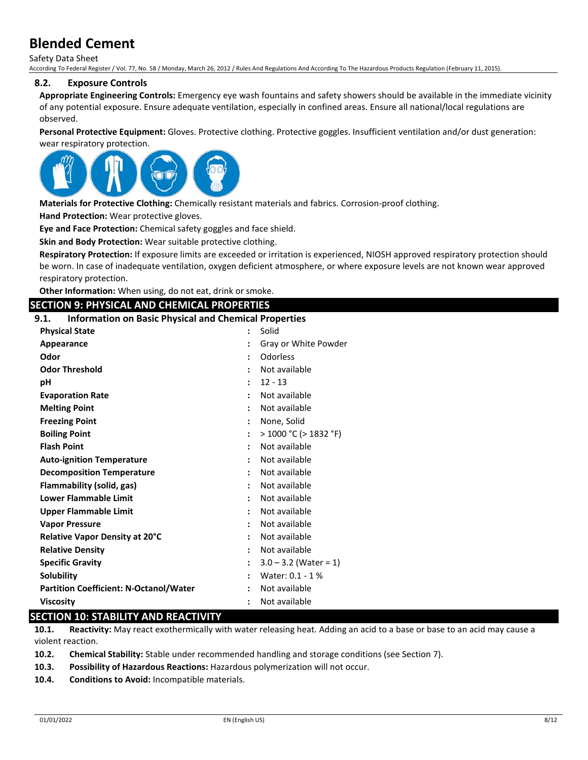Safety Data Sheet According To Federal Register / Vol. 77, No. 58 / Monday, March 26, 2012 / Rules And Regulations And According To The Hazardous Products Regulation (February 11, 2015).

#### **8.2. Exposure Controls**

**Appropriate Engineering Controls:** Emergency eye wash fountains and safety showers should be available in the immediate vicinity of any potential exposure. Ensure adequate ventilation, especially in confined areas. Ensure all national/local regulations are observed.

**Personal Protective Equipment:** Gloves. Protective clothing. Protective goggles. Insufficient ventilation and/or dust generation: wear respiratory protection.



**Materials for Protective Clothing:** Chemically resistant materials and fabrics. Corrosion-proof clothing.

**Hand Protection:** Wear protective gloves.

**Eye and Face Protection:** Chemical safety goggles and face shield.

**Skin and Body Protection:** Wear suitable protective clothing.

**Respiratory Protection:** If exposure limits are exceeded or irritation is experienced, NIOSH approved respiratory protection should be worn. In case of inadequate ventilation, oxygen deficient atmosphere, or where exposure levels are not known wear approved respiratory protection.

**Other Information:** When using, do not eat, drink or smoke.

#### **SECTION 9: PHYSICAL AND CHEMICAL PROPERTIES**

#### **9.1. Information on Basic Physical and Chemical Properties**

| <b>Physical State</b>                         | Solid                      |
|-----------------------------------------------|----------------------------|
| Appearance                                    | Gray or White Powder       |
| Odor                                          | Odorless                   |
| <b>Odor Threshold</b>                         | Not available              |
| рH                                            | $12 - 13$                  |
| <b>Evaporation Rate</b>                       | Not available              |
| <b>Melting Point</b>                          | Not available              |
| <b>Freezing Point</b>                         | None, Solid                |
| <b>Boiling Point</b>                          | $>$ 1000 °C ( $>$ 1832 °F) |
| <b>Flash Point</b>                            | Not available              |
| <b>Auto-ignition Temperature</b>              | Not available              |
| <b>Decomposition Temperature</b>              | Not available              |
| Flammability (solid, gas)                     | Not available              |
| Lower Flammable Limit                         | Not available              |
| <b>Upper Flammable Limit</b>                  | Not available              |
| <b>Vapor Pressure</b>                         | Not available              |
| Relative Vapor Density at 20°C                | Not available              |
| <b>Relative Density</b>                       | Not available              |
| <b>Specific Gravity</b>                       | $3.0 - 3.2$ (Water = 1)    |
| <b>Solubility</b>                             | Water: 0.1 - 1 %           |
| <b>Partition Coefficient: N-Octanol/Water</b> | Not available              |
| <b>Viscosity</b>                              | Not available              |

# **SECTION 10: STABILITY AND REACTIVITY**

**10.1. Reactivity:** May react exothermically with water releasing heat. Adding an acid to a base or base to an acid may cause a violent reaction.

**10.2. Chemical Stability:** Stable under recommended handling and storage conditions (see Section 7).

**10.3. Possibility of Hazardous Reactions:** Hazardous polymerization will not occur.

**10.4. Conditions to Avoid:** Incompatible materials.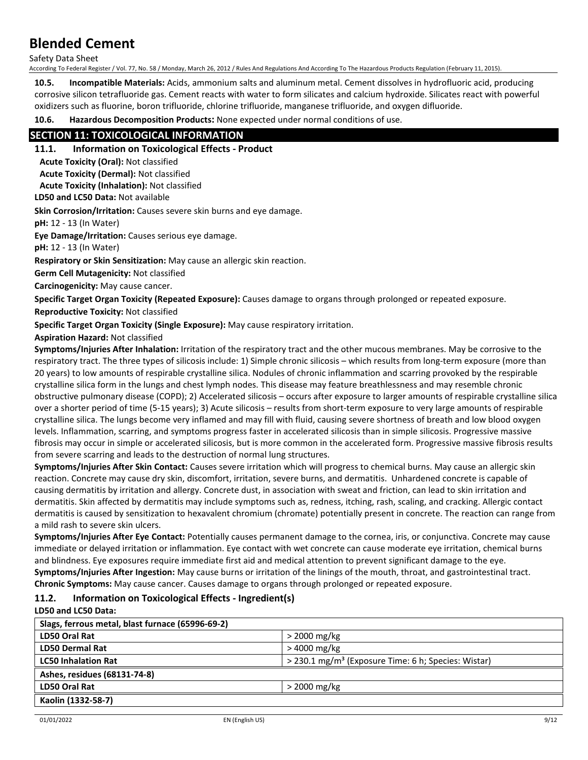Safety Data Sheet

According To Federal Register / Vol. 77, No. 58 / Monday, March 26, 2012 / Rules And Regulations And According To The Hazardous Products Regulation (February 11, 2015).

**10.5. Incompatible Materials:** Acids, ammonium salts and aluminum metal. Cement dissolves in hydrofluoric acid, producing corrosive silicon tetrafluoride gas. Cement reacts with water to form silicates and calcium hydroxide. Silicates react with powerful oxidizers such as fluorine, boron trifluoride, chlorine trifluoride, manganese trifluoride, and oxygen difluoride.

**10.6. Hazardous Decomposition Products:** None expected under normal conditions of use.

# **SECTION 11: TOXICOLOGICAL INFORMATION**

# **11.1. Information on Toxicological Effects - Product**

**Acute Toxicity (Oral):** Not classified

**Acute Toxicity (Dermal):** Not classified **Acute Toxicity (Inhalation):** Not classified

**LD50 and LC50 Data:** Not available

**Skin Corrosion/Irritation:** Causes severe skin burns and eye damage.

**pH:** 12 - 13 (In Water)

**Eye Damage/Irritation:** Causes serious eye damage.

**pH:** 12 - 13 (In Water)

**Respiratory or Skin Sensitization:** May cause an allergic skin reaction.

**Germ Cell Mutagenicity:** Not classified

**Carcinogenicity:** May cause cancer.

**Specific Target Organ Toxicity (Repeated Exposure):** Causes damage to organs through prolonged or repeated exposure.

**Reproductive Toxicity:** Not classified

**Specific Target Organ Toxicity (Single Exposure):** May cause respiratory irritation.

**Aspiration Hazard:** Not classified

**Symptoms/Injuries After Inhalation:** Irritation of the respiratory tract and the other mucous membranes. May be corrosive to the respiratory tract. The three types of silicosis include: 1) Simple chronic silicosis – which results from long-term exposure (more than 20 years) to low amounts of respirable crystalline silica. Nodules of chronic inflammation and scarring provoked by the respirable crystalline silica form in the lungs and chest lymph nodes. This disease may feature breathlessness and may resemble chronic obstructive pulmonary disease (COPD); 2) Accelerated silicosis – occurs after exposure to larger amounts of respirable crystalline silica over a shorter period of time (5-15 years); 3) Acute silicosis – results from short-term exposure to very large amounts of respirable crystalline silica. The lungs become very inflamed and may fill with fluid, causing severe shortness of breath and low blood oxygen levels. Inflammation, scarring, and symptoms progress faster in accelerated silicosis than in simple silicosis. Progressive massive fibrosis may occur in simple or accelerated silicosis, but is more common in the accelerated form. Progressive massive fibrosis results from severe scarring and leads to the destruction of normal lung structures.

**Symptoms/Injuries After Skin Contact:** Causes severe irritation which will progress to chemical burns. May cause an allergic skin reaction. Concrete may cause dry skin, discomfort, irritation, severe burns, and dermatitis. Unhardened concrete is capable of causing dermatitis by irritation and allergy. Concrete dust, in association with sweat and friction, can lead to skin irritation and dermatitis. Skin affected by dermatitis may include symptoms such as, redness, itching, rash, scaling, and cracking. Allergic contact dermatitis is caused by sensitization to hexavalent chromium (chromate) potentially present in concrete. The reaction can range from a mild rash to severe skin ulcers.

**Symptoms/Injuries After Eye Contact:** Potentially causes permanent damage to the cornea, iris, or conjunctiva. Concrete may cause immediate or delayed irritation or inflammation. Eye contact with wet concrete can cause moderate eye irritation, chemical burns and blindness. Eye exposures require immediate first aid and medical attention to prevent significant damage to the eye. **Symptoms/Injuries After Ingestion:** May cause burns or irritation of the linings of the mouth, throat, and gastrointestinal tract. **Chronic Symptoms:** May cause cancer. Causes damage to organs through prolonged or repeated exposure.

# **11.2. Information on Toxicological Effects - Ingredient(s)**

**LD50 and LC50 Data:**

| Slags, ferrous metal, blast furnace (65996-69-2) |                                                                 |
|--------------------------------------------------|-----------------------------------------------------------------|
| LD50 Oral Rat                                    | $>$ 2000 mg/kg                                                  |
| <b>LD50 Dermal Rat</b>                           | > 4000 mg/kg                                                    |
| <b>LC50 Inhalation Rat</b>                       | > 230.1 mg/m <sup>3</sup> (Exposure Time: 6 h; Species: Wistar) |
| Ashes, residues (68131-74-8)                     |                                                                 |
| LD50 Oral Rat                                    | $>$ 2000 mg/kg                                                  |
| Kaolin (1332-58-7)                               |                                                                 |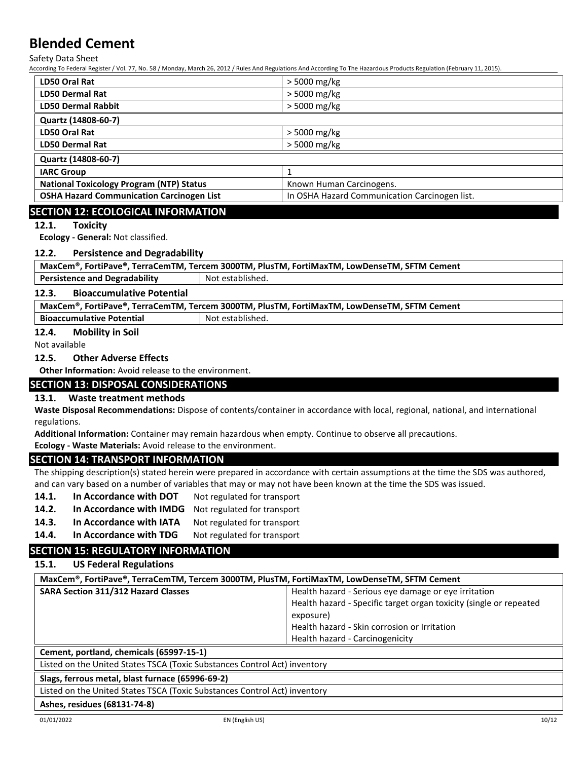Safety Data Sheet

According To Federal Register / Vol. 77, No. 58 / Monday, March 26, 2012 / Rules And Regulations And According To The Hazardous Products Regulation (February 11, 2015).

| LD50 Oral Rat                                    | $>$ 5000 mg/kg                                |
|--------------------------------------------------|-----------------------------------------------|
| <b>LD50 Dermal Rat</b>                           | $>$ 5000 mg/kg                                |
| <b>LD50 Dermal Rabbit</b>                        | > 5000 mg/kg                                  |
| Quartz (14808-60-7)                              |                                               |
| LD50 Oral Rat                                    | > 5000 mg/kg                                  |
| <b>LD50 Dermal Rat</b>                           | > 5000 mg/kg                                  |
| Quartz (14808-60-7)                              |                                               |
| <b>IARC Group</b>                                |                                               |
| <b>National Toxicology Program (NTP) Status</b>  | Known Human Carcinogens.                      |
| <b>OSHA Hazard Communication Carcinogen List</b> | In OSHA Hazard Communication Carcinogen list. |

# **SECTION 12: ECOLOGICAL INFORMATION**

#### **12.1. Toxicity**

**Ecology - General:** Not classified.

#### **12.2. Persistence and Degradability**

| MaxCem®, FortiPave®, TerraCemTM, Tercem 3000TM, PlusTM, FortiMaxTM, LowDenseTM, SFTM Cement |  |  |
|---------------------------------------------------------------------------------------------|--|--|
| <b>Persistence and Degradability</b><br>Not established.                                    |  |  |
| 12.3.<br><b>Bioaccumulative Potential</b>                                                   |  |  |
| MaxCem®, FortiPave®, TerraCemTM, Tercem 3000TM, PlusTM, FortiMaxTM, LowDenseTM, SFTM Cement |  |  |

**Bioaccumulative Potential Accord Not established.** 

#### **12.4. Mobility in Soil**

Not available

#### **12.5. Other Adverse Effects**

**Other Information:** Avoid release to the environment.

# **SECTION 13: DISPOSAL CONSIDERATIONS**

### **13.1. Waste treatment methods**

**Waste Disposal Recommendations:** Dispose of contents/container in accordance with local, regional, national, and international regulations.

**Additional Information:** Container may remain hazardous when empty. Continue to observe all precautions.

**Ecology - Waste Materials:** Avoid release to the environment.

# **SECTION 14: TRANSPORT INFORMATION**

The shipping description(s) stated herein were prepared in accordance with certain assumptions at the time the SDS was authored, and can vary based on a number of variables that may or may not have been known at the time the SDS was issued.

- 14.1. In Accordance with DOT Not regulated for transport
- **14.2. In Accordance with IMDG** Not regulated for transport
- 14.3. In Accordance with IATA Not regulated for transport
- 14.4. In Accordance with TDG Not regulated for transport

# **SECTION 15: REGULATORY INFORMATION**

## **15.1. US Federal Regulations**

| MaxCem®, FortiPave®, TerraCemTM, Tercem 3000TM, PlusTM, FortiMaxTM, LowDenseTM, SFTM Cement |                                                                    |  |
|---------------------------------------------------------------------------------------------|--------------------------------------------------------------------|--|
| <b>SARA Section 311/312 Hazard Classes</b>                                                  | Health hazard - Serious eye damage or eye irritation               |  |
|                                                                                             | Health hazard - Specific target organ toxicity (single or repeated |  |
|                                                                                             | exposure)                                                          |  |
|                                                                                             | Health hazard - Skin corrosion or Irritation                       |  |
|                                                                                             | Health hazard - Carcinogenicity                                    |  |
| Cement, portland, chemicals (65997-15-1)                                                    |                                                                    |  |

Listed on the United States TSCA (Toxic Substances Control Act) inventory

#### **Slags, ferrous metal, blast furnace (65996-69-2)**

Listed on the United States TSCA (Toxic Substances Control Act) inventory

**Ashes, residues (68131-74-8)**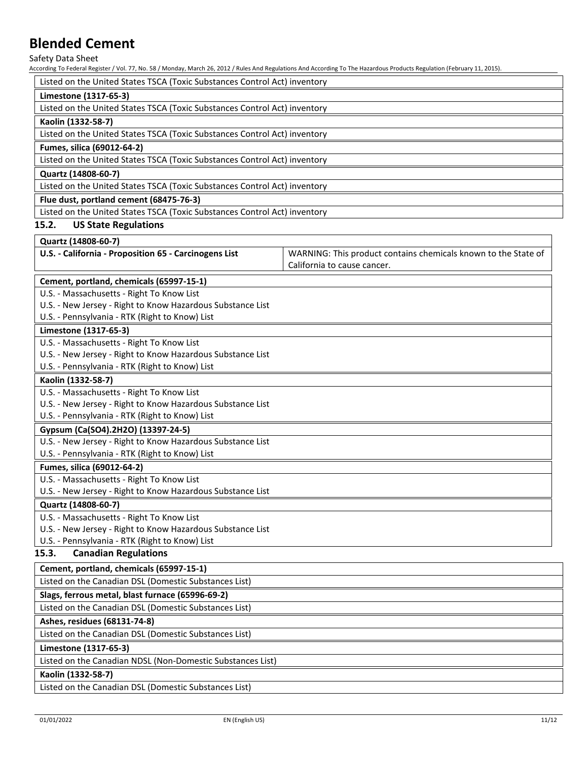Safety Data Sheet

According To Federal Register / Vol. 77, No. 58 / Monday, March 26, 2012 / Rules And Regulations And According To The Hazardous Products Regulation (February 11, 2015).

| Listed on the United States TSCA (Toxic Substances Control Act) inventory |
|---------------------------------------------------------------------------|
| Limestone (1317-65-3)                                                     |
| Listed on the United States TSCA (Toxic Substances Control Act) inventory |
| Kaolin (1332-58-7)                                                        |
| Listed on the United States TSCA (Toxic Substances Control Act) inventory |
| Fumes, silica (69012-64-2)                                                |
| Listed on the United States TSCA (Toxic Substances Control Act) inventory |
| Quartz (14808-60-7)                                                       |
| Listed on the United States TSCA (Toxic Substances Control Act) inventory |
| Flue dust, portland cement (68475-76-3)                                   |
| Listed on the United States TSCA (Toxic Substances Control Act) inventory |
| <b>US State Regulations</b><br>15.2.                                      |
| Quartz (14808-60-7)                                                       |

**U.S. - California - Proposition 65 - Carcinogens List** WARNING: This product contains chemicals known to the State of California to cause cancer.

|  | Cement, portland, chemicals (65997-15-1)                    |  |
|--|-------------------------------------------------------------|--|
|  | $\mathbf{H} \cdot \mathbf{C} = \mathbf{A} \cdot \mathbf{A}$ |  |

U.S. - Massachusetts - Right To Know List

U.S. - New Jersey - Right to Know Hazardous Substance List

U.S. - Pennsylvania - RTK (Right to Know) List

#### **Limestone (1317-65-3)**

U.S. - Massachusetts - Right To Know List

U.S. - New Jersey - Right to Know Hazardous Substance List

U.S. - Pennsylvania - RTK (Right to Know) List

#### **Kaolin (1332-58-7)**

U.S. - Massachusetts - Right To Know List

U.S. - New Jersey - Right to Know Hazardous Substance List

U.S. - Pennsylvania - RTK (Right to Know) List

## **Gypsum (Ca(SO4).2H2O) (13397-24-5)**

U.S. - New Jersey - Right to Know Hazardous Substance List

U.S. - Pennsylvania - RTK (Right to Know) List

### **Fumes, silica (69012-64-2)**

U.S. - Massachusetts - Right To Know List

U.S. - New Jersey - Right to Know Hazardous Substance List

### **Quartz (14808-60-7)**

U.S. - Massachusetts - Right To Know List

U.S. - New Jersey - Right to Know Hazardous Substance List

U.S. - Pennsylvania - RTK (Right to Know) List

# **15.3. Canadian Regulations**

# **Cement, portland, chemicals (65997-15-1)**

Listed on the Canadian DSL (Domestic Substances List)

# **Slags, ferrous metal, blast furnace (65996-69-2)**

Listed on the Canadian DSL (Domestic Substances List)

### **Ashes, residues (68131-74-8)**

Listed on the Canadian DSL (Domestic Substances List)

### **Limestone (1317-65-3)**

Listed on the Canadian NDSL (Non-Domestic Substances List)

## **Kaolin (1332-58-7)**

Listed on the Canadian DSL (Domestic Substances List)